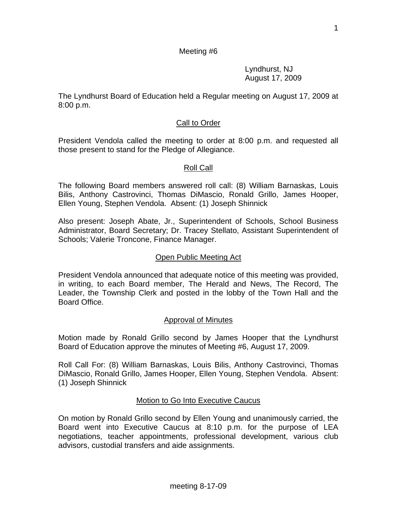1

# Meeting #6

 Lyndhurst, NJ August 17, 2009

The Lyndhurst Board of Education held a Regular meeting on August 17, 2009 at 8:00 p.m.

# Call to Order

President Vendola called the meeting to order at 8:00 p.m. and requested all those present to stand for the Pledge of Allegiance.

# Roll Call

The following Board members answered roll call: (8) William Barnaskas, Louis Bilis, Anthony Castrovinci, Thomas DiMascio, Ronald Grillo, James Hooper, Ellen Young, Stephen Vendola. Absent: (1) Joseph Shinnick

Also present: Joseph Abate, Jr., Superintendent of Schools, School Business Administrator, Board Secretary; Dr. Tracey Stellato, Assistant Superintendent of Schools; Valerie Troncone, Finance Manager.

# Open Public Meeting Act

President Vendola announced that adequate notice of this meeting was provided, in writing, to each Board member, The Herald and News, The Record, The Leader, the Township Clerk and posted in the lobby of the Town Hall and the Board Office.

# Approval of Minutes

Motion made by Ronald Grillo second by James Hooper that the Lyndhurst Board of Education approve the minutes of Meeting #6, August 17, 2009.

Roll Call For: (8) William Barnaskas, Louis Bilis, Anthony Castrovinci, Thomas DiMascio, Ronald Grillo, James Hooper, Ellen Young, Stephen Vendola. Absent: (1) Joseph Shinnick

# Motion to Go Into Executive Caucus

On motion by Ronald Grillo second by Ellen Young and unanimously carried, the Board went into Executive Caucus at 8:10 p.m. for the purpose of LEA negotiations, teacher appointments, professional development, various club advisors, custodial transfers and aide assignments.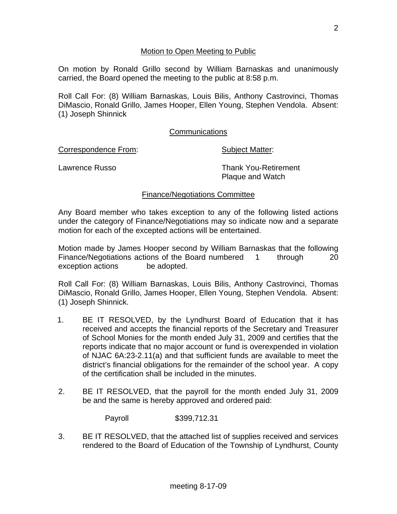## Motion to Open Meeting to Public

On motion by Ronald Grillo second by William Barnaskas and unanimously carried, the Board opened the meeting to the public at 8:58 p.m.

Roll Call For: (8) William Barnaskas, Louis Bilis, Anthony Castrovinci, Thomas DiMascio, Ronald Grillo, James Hooper, Ellen Young, Stephen Vendola. Absent: (1) Joseph Shinnick

## **Communications**

Correspondence From: Subject Matter:

Lawrence Russo **Thank You-Retirement** Plaque and Watch

## Finance/Negotiations Committee

Any Board member who takes exception to any of the following listed actions under the category of Finance/Negotiations may so indicate now and a separate motion for each of the excepted actions will be entertained.

Motion made by James Hooper second by William Barnaskas that the following Finance/Negotiations actions of the Board numbered 1 through 20 exception actions be adopted.

Roll Call For: (8) William Barnaskas, Louis Bilis, Anthony Castrovinci, Thomas DiMascio, Ronald Grillo, James Hooper, Ellen Young, Stephen Vendola. Absent: (1) Joseph Shinnick.

- 1. BE IT RESOLVED, by the Lyndhurst Board of Education that it has received and accepts the financial reports of the Secretary and Treasurer of School Monies for the month ended July 31, 2009 and certifies that the reports indicate that no major account or fund is overexpended in violation of NJAC 6A:23-2.11(a) and that sufficient funds are available to meet the district's financial obligations for the remainder of the school year. A copy of the certification shall be included in the minutes.
- 2. BE IT RESOLVED, that the payroll for the month ended July 31, 2009 be and the same is hereby approved and ordered paid:

Payroll \$399,712.31

3. BE IT RESOLVED, that the attached list of supplies received and services rendered to the Board of Education of the Township of Lyndhurst, County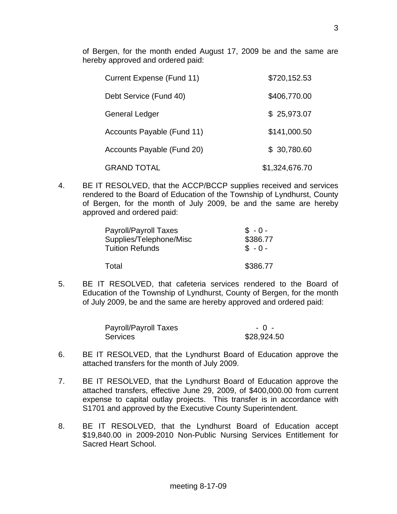of Bergen, for the month ended August 17, 2009 be and the same are hereby approved and ordered paid:

| Current Expense (Fund 11)  | \$720,152.53   |
|----------------------------|----------------|
| Debt Service (Fund 40)     | \$406,770.00   |
| <b>General Ledger</b>      | \$25,973.07    |
| Accounts Payable (Fund 11) | \$141,000.50   |
| Accounts Payable (Fund 20) | \$ 30,780.60   |
| <b>GRAND TOTAL</b>         | \$1,324,676.70 |

4. BE IT RESOLVED, that the ACCP/BCCP supplies received and services rendered to the Board of Education of the Township of Lyndhurst, County of Bergen, for the month of July 2009, be and the same are hereby approved and ordered paid:

| <b>Payroll/Payroll Taxes</b><br>Supplies/Telephone/Misc | $$ -0 -$<br>\$386.77 |
|---------------------------------------------------------|----------------------|
| <b>Tuition Refunds</b>                                  | $$ -0 -$             |
| Total                                                   | \$386.77             |

5. BE IT RESOLVED, that cafeteria services rendered to the Board of Education of the Township of Lyndhurst, County of Bergen, for the month of July 2009, be and the same are hereby approved and ordered paid:

| Payroll/Payroll Taxes | $-0 -$      |
|-----------------------|-------------|
| Services              | \$28,924.50 |

- 6. BE IT RESOLVED, that the Lyndhurst Board of Education approve the attached transfers for the month of July 2009.
- 7. BE IT RESOLVED, that the Lyndhurst Board of Education approve the attached transfers, effective June 29, 2009, of \$400,000.00 from current expense to capital outlay projects. This transfer is in accordance with S1701 and approved by the Executive County Superintendent.
- 8. BE IT RESOLVED, that the Lyndhurst Board of Education accept \$19,840.00 in 2009-2010 Non-Public Nursing Services Entitlement for Sacred Heart School.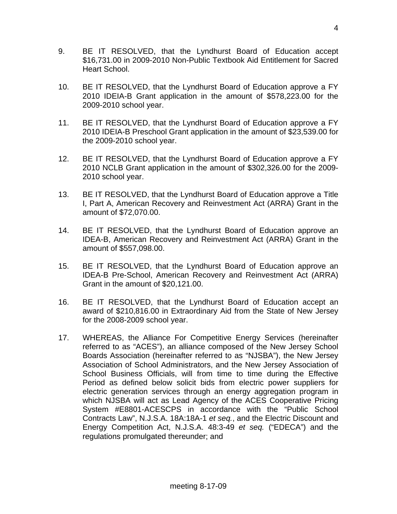- 9. BE IT RESOLVED, that the Lyndhurst Board of Education accept \$16,731.00 in 2009-2010 Non-Public Textbook Aid Entitlement for Sacred Heart School.
- 10. BE IT RESOLVED, that the Lyndhurst Board of Education approve a FY 2010 IDEIA-B Grant application in the amount of \$578,223.00 for the 2009-2010 school year.
- 11. BE IT RESOLVED, that the Lyndhurst Board of Education approve a FY 2010 IDEIA-B Preschool Grant application in the amount of \$23,539.00 for the 2009-2010 school year.
- 12. BE IT RESOLVED, that the Lyndhurst Board of Education approve a FY 2010 NCLB Grant application in the amount of \$302,326.00 for the 2009- 2010 school year.
- 13. BE IT RESOLVED, that the Lyndhurst Board of Education approve a Title I, Part A, American Recovery and Reinvestment Act (ARRA) Grant in the amount of \$72,070.00.
- 14. BE IT RESOLVED, that the Lyndhurst Board of Education approve an IDEA-B, American Recovery and Reinvestment Act (ARRA) Grant in the amount of \$557,098.00.
- 15. BE IT RESOLVED, that the Lyndhurst Board of Education approve an IDEA-B Pre-School, American Recovery and Reinvestment Act (ARRA) Grant in the amount of \$20,121.00.
- 16. BE IT RESOLVED, that the Lyndhurst Board of Education accept an award of \$210,816.00 in Extraordinary Aid from the State of New Jersey for the 2008-2009 school year.
- 17. WHEREAS, the Alliance For Competitive Energy Services (hereinafter referred to as "ACES"), an alliance composed of the New Jersey School Boards Association (hereinafter referred to as "NJSBA"), the New Jersey Association of School Administrators, and the New Jersey Association of School Business Officials, will from time to time during the Effective Period as defined below solicit bids from electric power suppliers for electric generation services through an energy aggregation program in which NJSBA will act as Lead Agency of the ACES Cooperative Pricing System #E8801-ACESCPS in accordance with the "Public School Contracts Law", N.J.S.A. 18A:18A-1 *et seq.*, and the Electric Discount and Energy Competition Act, N.J.S.A. 48:3-49 *et seq.* ("EDECA") and the regulations promulgated thereunder; and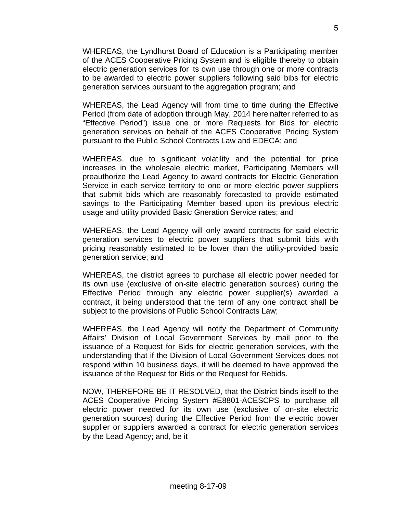WHEREAS, the Lyndhurst Board of Education is a Participating member of the ACES Cooperative Pricing System and is eligible thereby to obtain electric generation services for its own use through one or more contracts to be awarded to electric power suppliers following said bibs for electric generation services pursuant to the aggregation program; and

 WHEREAS, the Lead Agency will from time to time during the Effective Period (from date of adoption through May, 2014 hereinafter referred to as "Effective Period") issue one or more Requests for Bids for electric generation services on behalf of the ACES Cooperative Pricing System pursuant to the Public School Contracts Law and EDECA; and

 WHEREAS, due to significant volatility and the potential for price increases in the wholesale electric market, Participating Members will preauthorize the Lead Agency to award contracts for Electric Generation Service in each service territory to one or more electric power suppliers that submit bids which are reasonably forecasted to provide estimated savings to the Participating Member based upon its previous electric usage and utility provided Basic Gneration Service rates; and

 WHEREAS, the Lead Agency will only award contracts for said electric generation services to electric power suppliers that submit bids with pricing reasonably estimated to be lower than the utility-provided basic generation service; and

 WHEREAS, the district agrees to purchase all electric power needed for its own use (exclusive of on-site electric generation sources) during the Effective Period through any electric power supplier(s) awarded a contract, it being understood that the term of any one contract shall be subject to the provisions of Public School Contracts Law;

 WHEREAS, the Lead Agency will notify the Department of Community Affairs' Division of Local Government Services by mail prior to the issuance of a Request for Bids for electric generation services, with the understanding that if the Division of Local Government Services does not respond within 10 business days, it will be deemed to have approved the issuance of the Request for Bids or the Request for Rebids.

 NOW, THEREFORE BE IT RESOLVED, that the District binds itself to the ACES Cooperative Pricing System #E8801-ACESCPS to purchase all electric power needed for its own use (exclusive of on-site electric generation sources) during the Effective Period from the electric power supplier or suppliers awarded a contract for electric generation services by the Lead Agency; and, be it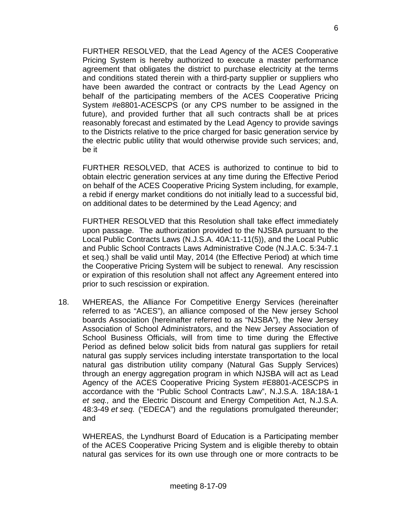FURTHER RESOLVED, that the Lead Agency of the ACES Cooperative Pricing System is hereby authorized to execute a master performance agreement that obligates the district to purchase electricity at the terms and conditions stated therein with a third-party supplier or suppliers who have been awarded the contract or contracts by the Lead Agency on behalf of the participating members of the ACES Cooperative Pricing System #e8801-ACESCPS (or any CPS number to be assigned in the future), and provided further that all such contracts shall be at prices reasonably forecast and estimated by the Lead Agency to provide savings to the Districts relative to the price charged for basic generation service by the electric public utility that would otherwise provide such services; and, be it

 FURTHER RESOLVED, that ACES is authorized to continue to bid to obtain electric generation services at any time during the Effective Period on behalf of the ACES Cooperative Pricing System including, for example, a rebid if energy market conditions do not initially lead to a successful bid, on additional dates to be determined by the Lead Agency; and

 FURTHER RESOLVED that this Resolution shall take effect immediately upon passage. The authorization provided to the NJSBA pursuant to the Local Public Contracts Laws (N.J.S.A. 40A:11-11(5)), and the Local Public and Public School Contracts Laws Administrative Code (N.J.A.C. 5:34-7.1 et seq.) shall be valid until May, 2014 (the Effective Period) at which time the Cooperative Pricing System will be subject to renewal. Any rescission or expiration of this resolution shall not affect any Agreement entered into prior to such rescission or expiration.

18. WHEREAS, the Alliance For Competitive Energy Services (hereinafter referred to as "ACES"), an alliance composed of the New jersey School boards Association (hereinafter referred to as "NJSBA"), the New Jersey Association of School Administrators, and the New Jersey Association of School Business Officials, will from time to time during the Effective Period as defined below solicit bids from natural gas suppliers for retail natural gas supply services including interstate transportation to the local natural gas distribution utility company (Natural Gas Supply Services) through an energy aggregation program in which NJSBA will act as Lead Agency of the ACES Cooperative Pricing System #E8801-ACESCPS in accordance with the "Public School Contracts Law", N.J.S.A. 18A:18A-1 *et seq.,* and the Electric Discount and Energy Competition Act, N.J.S.A. 48:3-49 *et se q.* ("EDECA") and the regulations promulgated thereunder; and

 WHEREAS, the Lyndhurst Board of Education is a Participating member of the ACES Cooperative Pricing System and is eligible thereby to obtain natural gas services for its own use through one or more contracts to be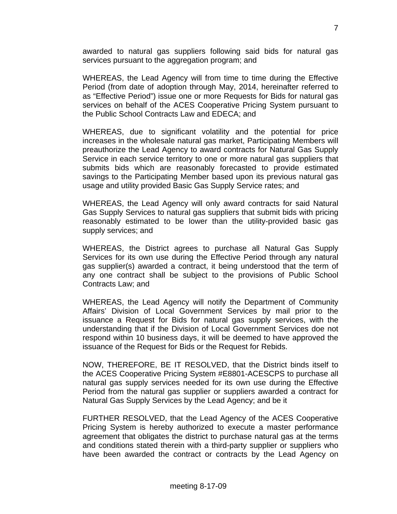awarded to natural gas suppliers following said bids for natural gas services pursuant to the aggregation program; and

 WHEREAS, the Lead Agency will from time to time during the Effective Period (from date of adoption through May, 2014, hereinafter referred to as "Effective Period") issue one or more Requests for Bids for natural gas services on behalf of the ACES Cooperative Pricing System pursuant to the Public School Contracts Law and EDECA; and

 WHEREAS, due to significant volatility and the potential for price increases in the wholesale natural gas market, Participating Members will preauthorize the Lead Agency to award contracts for Natural Gas Supply Service in each service territory to one or more natural gas suppliers that submits bids which are reasonably forecasted to provide estimated savings to the Participating Member based upon its previous natural gas usage and utility provided Basic Gas Supply Service rates; and

 WHEREAS, the Lead Agency will only award contracts for said Natural Gas Supply Services to natural gas suppliers that submit bids with pricing reasonably estimated to be lower than the utility-provided basic gas supply services; and

 WHEREAS, the District agrees to purchase all Natural Gas Supply Services for its own use during the Effective Period through any natural gas supplier(s) awarded a contract, it being understood that the term of any one contract shall be subject to the provisions of Public School Contracts Law; and

 WHEREAS, the Lead Agency will notify the Department of Community Affairs' Division of Local Government Services by mail prior to the issuance a Request for Bids for natural gas supply services, with the understanding that if the Division of Local Government Services doe not respond within 10 business days, it will be deemed to have approved the issuance of the Request for Bids or the Request for Rebids.

 NOW, THEREFORE, BE IT RESOLVED, that the District binds itself to the ACES Cooperative Pricing System #E8801-ACESCPS to purchase all natural gas supply services needed for its own use during the Effective Period from the natural gas supplier or suppliers awarded a contract for Natural Gas Supply Services by the Lead Agency; and be it

 FURTHER RESOLVED, that the Lead Agency of the ACES Cooperative Pricing System is hereby authorized to execute a master performance agreement that obligates the district to purchase natural gas at the terms and conditions stated therein with a third-party supplier or suppliers who have been awarded the contract or contracts by the Lead Agency on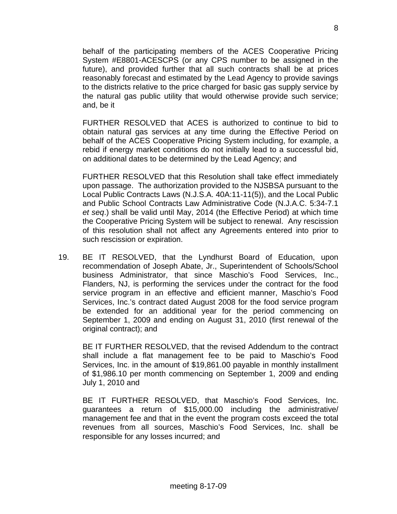behalf of the participating members of the ACES Cooperative Pricing System #E8801-ACESCPS (or any CPS number to be assigned in the future), and provided further that all such contracts shall be at prices reasonably forecast and estimated by the Lead Agency to provide savings to the districts relative to the price charged for basic gas supply service by the natural gas public utility that would otherwise provide such service; and, be it

 FURTHER RESOLVED that ACES is authorized to continue to bid to obtain natural gas services at any time during the Effective Period on behalf of the ACES Cooperative Pricing System including, for example, a rebid if energy market conditions do not initially lead to a successful bid, on additional dates to be determined by the Lead Agency; and

 FURTHER RESOLVED that this Resolution shall take effect immediately upon passage. The authorization provided to the NJSBSA pursuant to the Local Public Contracts Laws (N.J.S.A. 40A:11-11(5)), and the Local Public and Public School Contracts Law Administrative Code (N.J.A.C. 5:34-7.1 *et seq*.) shall be valid until May, 2014 (the Effective Period) at which time the Cooperative Pricing System will be subject to renewal. Any rescission of this resolution shall not affect any Agreements entered into prior to such rescission or expiration.

19. BE IT RESOLVED, that the Lyndhurst Board of Education, upon recommendation of Joseph Abate, Jr., Superintendent of Schools/School business Administrator, that since Maschio's Food Services, Inc., Flanders, NJ, is performing the services under the contract for the food service program in an effective and efficient manner, Maschio's Food Services, Inc.'s contract dated August 2008 for the food service program be extended for an additional year for the period commencing on September 1, 2009 and ending on August 31, 2010 (first renewal of the original contract); and

 BE IT FURTHER RESOLVED, that the revised Addendum to the contract shall include a flat management fee to be paid to Maschio's Food Services, Inc. in the amount of \$19,861.00 payable in monthly installment of \$1,986.10 per month commencing on September 1, 2009 and ending July 1, 2010 and

 BE IT FURTHER RESOLVED, that Maschio's Food Services, Inc. guarantees a return of \$15,000.00 including the administrative/ management fee and that in the event the program costs exceed the total revenues from all sources, Maschio's Food Services, Inc. shall be responsible for any losses incurred; and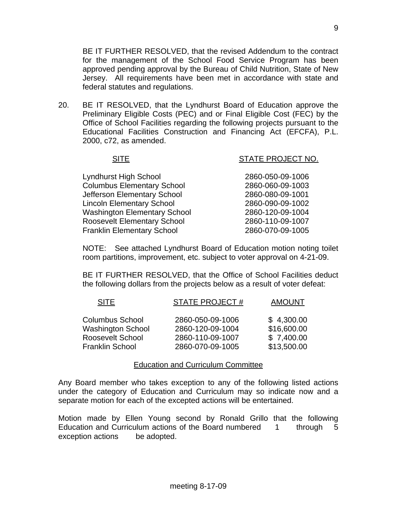BE IT FURTHER RESOLVED, that the revised Addendum to the contract for the management of the School Food Service Program has been approved pending approval by the Bureau of Child Nutrition, State of New Jersey. All requirements have been met in accordance with state and federal statutes and regulations.

20. BE IT RESOLVED, that the Lyndhurst Board of Education approve the Preliminary Eligible Costs (PEC) and or Final Eligible Cost (FEC) by the Office of School Facilities regarding the following projects pursuant to the Educational Facilities Construction and Financing Act (EFCFA), P.L. 2000, c72, as amended.

| <b>SITE</b>                         | STATE PROJECT NO. |
|-------------------------------------|-------------------|
|                                     |                   |
| <b>Lyndhurst High School</b>        | 2860-050-09-1006  |
| <b>Columbus Elementary School</b>   | 2860-060-09-1003  |
| Jefferson Elementary School         | 2860-080-09-1001  |
| <b>Lincoln Elementary School</b>    | 2860-090-09-1002  |
| <b>Washington Elementary School</b> | 2860-120-09-1004  |
| <b>Roosevelt Elementary School</b>  | 2860-110-09-1007  |
| <b>Franklin Elementary School</b>   | 2860-070-09-1005  |

 NOTE: See attached Lyndhurst Board of Education motion noting toilet room partitions, improvement, etc. subject to voter approval on 4-21-09.

 BE IT FURTHER RESOLVED, that the Office of School Facilities deduct the following dollars from the projects below as a result of voter defeat:

| <b>SITE</b>                                         | <b>STATE PROJECT#</b>                | <b>AMOUNT</b>             |
|-----------------------------------------------------|--------------------------------------|---------------------------|
| <b>Columbus School</b>                              | 2860-050-09-1006                     | \$4,300.00                |
| <b>Washington School</b><br><b>Roosevelt School</b> | 2860-120-09-1004<br>2860-110-09-1007 | \$16,600.00<br>\$7,400.00 |
| <b>Franklin School</b>                              | 2860-070-09-1005                     | \$13,500.00               |

#### Education and Curriculum Committee

Any Board member who takes exception to any of the following listed actions under the category of Education and Curriculum may so indicate now and a separate motion for each of the excepted actions will be entertained.

Motion made by Ellen Young second by Ronald Grillo that the following Education and Curriculum actions of the Board numbered 1 through 5 exception actions be adopted.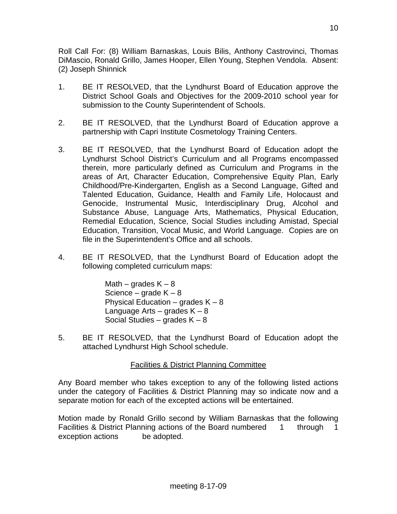Roll Call For: (8) William Barnaskas, Louis Bilis, Anthony Castrovinci, Thomas DiMascio, Ronald Grillo, James Hooper, Ellen Young, Stephen Vendola. Absent: (2) Joseph Shinnick

- 1. BE IT RESOLVED, that the Lyndhurst Board of Education approve the District School Goals and Objectives for the 2009-2010 school year for submission to the County Superintendent of Schools.
- 2. BE IT RESOLVED, that the Lyndhurst Board of Education approve a partnership with Capri Institute Cosmetology Training Centers.
- 3. BE IT RESOLVED, that the Lyndhurst Board of Education adopt the Lyndhurst School District's Curriculum and all Programs encompassed therein, more particularly defined as Curriculum and Programs in the areas of Art, Character Education, Comprehensive Equity Plan, Early Childhood/Pre-Kindergarten, English as a Second Language, Gifted and Talented Education, Guidance, Health and Family Life, Holocaust and Genocide, Instrumental Music, Interdisciplinary Drug, Alcohol and Substance Abuse, Language Arts, Mathematics, Physical Education, Remedial Education, Science, Social Studies including Amistad, Special Education, Transition, Vocal Music, and World Language. Copies are on file in the Superintendent's Office and all schools.
- 4. BE IT RESOLVED, that the Lyndhurst Board of Education adopt the following completed curriculum maps:

Math – grades  $K - 8$ Science – grade  $K - 8$ Physical Education – grades  $K - 8$ Language Arts – grades  $K - 8$ Social Studies – grades  $K - 8$ 

5. BE IT RESOLVED, that the Lyndhurst Board of Education adopt the attached Lyndhurst High School schedule.

# Facilities & District Planning Committee

Any Board member who takes exception to any of the following listed actions under the category of Facilities & District Planning may so indicate now and a separate motion for each of the excepted actions will be entertained.

Motion made by Ronald Grillo second by William Barnaskas that the following Facilities & District Planning actions of the Board numbered 1 through 1 exception actions be adopted.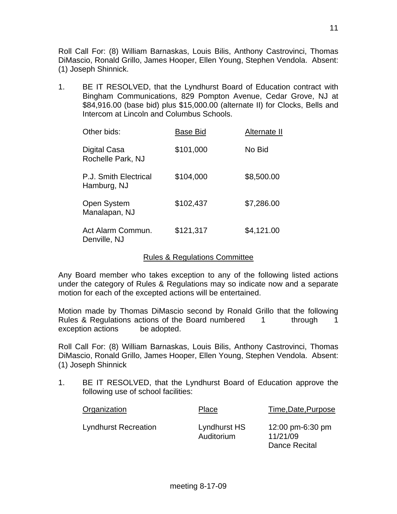Roll Call For: (8) William Barnaskas, Louis Bilis, Anthony Castrovinci, Thomas DiMascio, Ronald Grillo, James Hooper, Ellen Young, Stephen Vendola. Absent: (1) Joseph Shinnick.

1. BE IT RESOLVED, that the Lyndhurst Board of Education contract with Bingham Communications, 829 Pompton Avenue, Cedar Grove, NJ at \$84,916.00 (base bid) plus \$15,000.00 (alternate II) for Clocks, Bells and Intercom at Lincoln and Columbus Schools.

| Other bids:                          | Base Bid  | Alternate II |
|--------------------------------------|-----------|--------------|
| Digital Casa<br>Rochelle Park, NJ    | \$101,000 | No Bid       |
| P.J. Smith Electrical<br>Hamburg, NJ | \$104,000 | \$8,500.00   |
| Open System<br>Manalapan, NJ         | \$102,437 | \$7,286.00   |
| Act Alarm Commun.<br>Denville, NJ    | \$121,317 | \$4,121.00   |

## Rules & Regulations Committee

Any Board member who takes exception to any of the following listed actions under the category of Rules & Regulations may so indicate now and a separate motion for each of the excepted actions will be entertained.

Motion made by Thomas DiMascio second by Ronald Grillo that the following Rules & Regulations actions of the Board numbered 1 through 1 exception actions be adopted.

Roll Call For: (8) William Barnaskas, Louis Bilis, Anthony Castrovinci, Thomas DiMascio, Ronald Grillo, James Hooper, Ellen Young, Stephen Vendola. Absent: (1) Joseph Shinnick

1. BE IT RESOLVED, that the Lyndhurst Board of Education approve the following use of school facilities:

| Organization                | Place                      | Time, Date, Purpose                           |
|-----------------------------|----------------------------|-----------------------------------------------|
| <b>Lyndhurst Recreation</b> | Lyndhurst HS<br>Auditorium | 12:00 pm-6:30 pm<br>11/21/09<br>Dance Recital |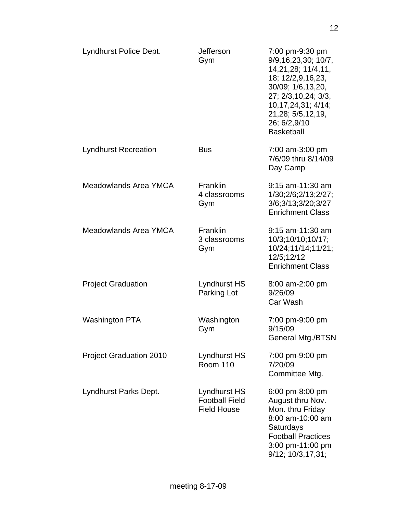| Lyndhurst Police Dept.         | <b>Jefferson</b><br>Gym                                     | 7:00 pm-9:30 pm<br>9/9,16,23,30; 10/7,<br>14, 21, 28; 11/4, 11,<br>18; 12/2,9,16,23,<br>30/09; 1/6,13,20,<br>27; 2/3,10,24; 3/3,<br>10, 17, 24, 31; 4/ 14;<br>21,28; 5/5,12,19,<br>26; 6/2,9/10<br><b>Basketball</b> |
|--------------------------------|-------------------------------------------------------------|----------------------------------------------------------------------------------------------------------------------------------------------------------------------------------------------------------------------|
| <b>Lyndhurst Recreation</b>    | <b>Bus</b>                                                  | 7:00 am-3:00 pm<br>7/6/09 thru 8/14/09<br>Day Camp                                                                                                                                                                   |
| Meadowlands Area YMCA          | <b>Franklin</b><br>4 classrooms<br>Gym                      | $9:15$ am-11:30 am<br>1/30;2/6;2/13;2/27;<br>3/6;3/13;3/20;3/27<br><b>Enrichment Class</b>                                                                                                                           |
| Meadowlands Area YMCA          | <b>Franklin</b><br>3 classrooms<br>Gym                      | $9:15$ am-11:30 am<br>10/3;10/10;10/17;<br>10/24;11/14;11/21;<br>12/5;12/12<br><b>Enrichment Class</b>                                                                                                               |
| <b>Project Graduation</b>      | Lyndhurst HS<br>Parking Lot                                 | 8:00 am-2:00 pm<br>9/26/09<br>Car Wash                                                                                                                                                                               |
| <b>Washington PTA</b>          | Washington<br>Gym                                           | 7:00 pm-9:00 pm<br>9/15/09<br>General Mtg./BTSN                                                                                                                                                                      |
| <b>Project Graduation 2010</b> | Lyndhurst HS<br><b>Room 110</b>                             | 7:00 pm-9:00 pm<br>7/20/09<br>Committee Mtg.                                                                                                                                                                         |
| Lyndhurst Parks Dept.          | Lyndhurst HS<br><b>Football Field</b><br><b>Field House</b> | 6:00 pm-8:00 pm<br>August thru Nov.<br>Mon. thru Friday<br>8:00 am-10:00 am<br>Saturdays<br><b>Football Practices</b><br>3:00 pm-11:00 pm<br>9/12; 10/3,17,31;                                                       |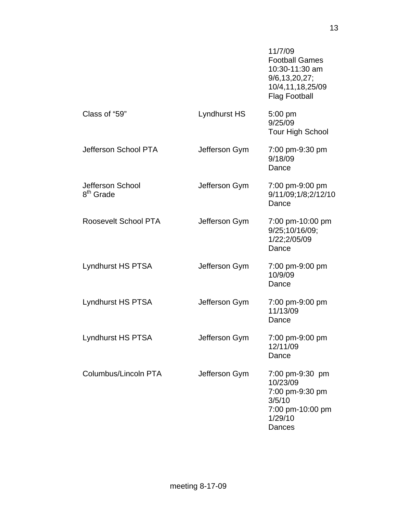|                                           |                     | 11/7/09<br><b>Football Games</b><br>10:30-11:30 am<br>9/6, 13, 20, 27;<br>10/4,11,18,25/09<br><b>Flag Football</b> |
|-------------------------------------------|---------------------|--------------------------------------------------------------------------------------------------------------------|
| Class of "59"                             | <b>Lyndhurst HS</b> | $5:00$ pm<br>9/25/09<br><b>Tour High School</b>                                                                    |
| Jefferson School PTA                      | Jefferson Gym       | 7:00 pm-9:30 pm<br>9/18/09<br>Dance                                                                                |
| Jefferson School<br>8 <sup>th</sup> Grade | Jefferson Gym       | 7:00 pm-9:00 pm<br>9/11/09;1/8;2/12/10<br>Dance                                                                    |
| Roosevelt School PTA                      | Jefferson Gym       | 7:00 pm-10:00 pm<br>9/25;10/16/09;<br>1/22;2/05/09<br>Dance                                                        |
| Lyndhurst HS PTSA                         | Jefferson Gym       | 7:00 pm-9:00 pm<br>10/9/09<br>Dance                                                                                |
| Lyndhurst HS PTSA                         | Jefferson Gym       | 7:00 pm-9:00 pm<br>11/13/09<br>Dance                                                                               |
| <b>Lyndhurst HS PTSA</b>                  | Jefferson Gym       | 7:00 pm-9:00 pm<br>12/11/09<br>Dance                                                                               |
| Columbus/Lincoln PTA                      | Jefferson Gym       | 7:00 pm-9:30 pm<br>10/23/09<br>7:00 pm-9:30 pm<br>3/5/10<br>7:00 pm-10:00 pm<br>1/29/10<br>Dances                  |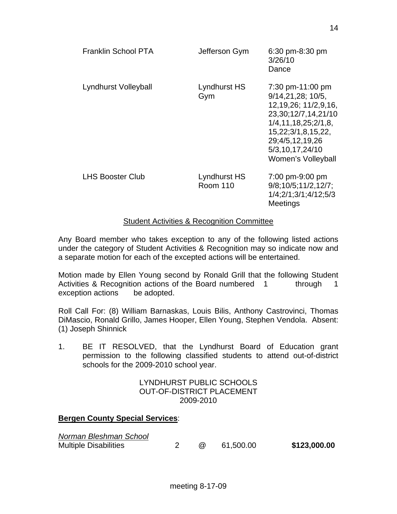| Franklin School PTA     | Jefferson Gym                   | 6:30 pm-8:30 pm<br>3/26/10<br>Dance                                                                                                                                                                      |
|-------------------------|---------------------------------|----------------------------------------------------------------------------------------------------------------------------------------------------------------------------------------------------------|
| Lyndhurst Volleyball    | Lyndhurst HS<br>Gym             | 7:30 pm-11:00 pm<br>9/14, 21, 28; 10/5.<br>12, 19, 26; 11/ 2, 9, 16,<br>23,30;12/7,14,21/10<br>1/4, 11, 18, 25, 2/1, 8<br>15,22;3/1,8,15,22,<br>29;4/5,12,19,26<br>5/3,10,17,24/10<br>Women's Volleyball |
| <b>LHS Booster Club</b> | Lyndhurst HS<br><b>Room 110</b> | 7:00 pm-9:00 pm<br>9/8;10/5;11/2,12/7;<br>1/4:2/1:3/1:4/12:5/3<br>Meetings                                                                                                                               |

## Student Activities & Recognition Committee

Any Board member who takes exception to any of the following listed actions under the category of Student Activities & Recognition may so indicate now and a separate motion for each of the excepted actions will be entertained.

Motion made by Ellen Young second by Ronald Grill that the following Student Activities & Recognition actions of the Board numbered 1 through 1 exception actions be adopted.

Roll Call For: (8) William Barnaskas, Louis Bilis, Anthony Castrovinci, Thomas DiMascio, Ronald Grillo, James Hooper, Ellen Young, Stephen Vendola. Absent: (1) Joseph Shinnick

1. BE IT RESOLVED, that the Lyndhurst Board of Education grant permission to the following classified students to attend out-of-district schools for the 2009-2010 school year.

#### LYNDHURST PUBLIC SCHOOLS OUT-OF-DISTRICT PLACEMENT 2009-2010

## **Bergen County Special Services**:

| Norman Bleshman School       |     |           |              |
|------------------------------|-----|-----------|--------------|
| <b>Multiple Disabilities</b> | (a) | 61,500.00 | \$123,000.00 |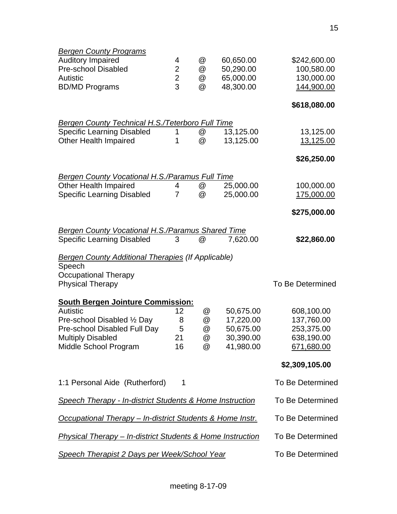| <b>Bergen County Programs</b>                                         |                |   |           |                         |
|-----------------------------------------------------------------------|----------------|---|-----------|-------------------------|
| <b>Auditory Impaired</b>                                              | 4              | @ | 60,650.00 | \$242,600.00            |
| <b>Pre-school Disabled</b>                                            | $\overline{2}$ | @ | 50,290.00 | 100,580.00              |
| <b>Autistic</b>                                                       | $\overline{2}$ | @ | 65,000.00 | 130,000.00              |
| <b>BD/MD Programs</b>                                                 | 3              | @ | 48,300.00 | 144,900.00              |
|                                                                       |                |   |           | \$618,080.00            |
| <b>Bergen County Technical H.S./Teterboro Full Time</b>               |                |   |           |                         |
| <b>Specific Learning Disabled</b>                                     | 1              | @ | 13,125.00 | 13,125.00               |
| <b>Other Health Impaired</b>                                          | 1              | @ | 13,125.00 | 13,125.00               |
|                                                                       |                |   |           | \$26,250.00             |
| <b>Bergen County Vocational H.S./Paramus Full Time</b>                |                |   |           |                         |
| <b>Other Health Impaired</b>                                          | 4              | @ | 25,000.00 | 100,000.00              |
| <b>Specific Learning Disabled</b>                                     | $\overline{7}$ | @ | 25,000.00 | 175,000.00              |
|                                                                       |                |   |           | \$275,000.00            |
| <b>Bergen County Vocational H.S./Paramus Shared Time</b>              |                |   |           |                         |
| <b>Specific Learning Disabled</b>                                     | 3              | @ | 7,620.00  | \$22,860.00             |
| <b>Bergen County Additional Therapies (If Applicable)</b>             |                |   |           |                         |
| Speech                                                                |                |   |           |                         |
| <b>Occupational Therapy</b>                                           |                |   |           |                         |
| <b>Physical Therapy</b>                                               |                |   |           | <b>To Be Determined</b> |
| <b>South Bergen Jointure Commission:</b>                              |                |   |           |                         |
| <b>Autistic</b>                                                       | 12             | @ | 50,675.00 | 608,100.00              |
| Pre-school Disabled 1/2 Day                                           | 8              | @ | 17,220.00 | 137,760.00              |
| Pre-school Disabled Full Day                                          | 5              | @ | 50,675.00 | 253,375.00              |
| <b>Multiply Disabled</b>                                              | 21             | @ | 30,390.00 | 638,190.00              |
| Middle School Program                                                 | 16             | @ | 41,980.00 | 671,680.00              |
|                                                                       |                |   |           | \$2,309,105.00          |
| 1:1 Personal Aide (Rutherford)                                        | $\mathbf 1$    |   |           | To Be Determined        |
| <b>Speech Therapy - In-district Students &amp; Home Instruction</b>   |                |   |           | To Be Determined        |
| <b>Occupational Therapy – In-district Students &amp; Home Instr.</b>  |                |   |           | To Be Determined        |
| <b>Physical Therapy – In-district Students &amp; Home Instruction</b> |                |   |           | To Be Determined        |
| <b>Speech Therapist 2 Days per Week/School Year</b>                   |                |   |           | To Be Determined        |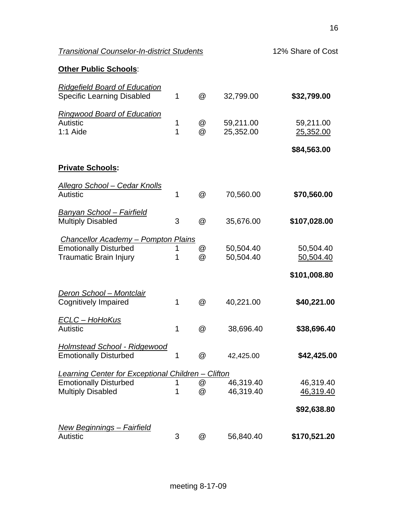| <b>Transitional Counselor-In-district Students</b>                                                          |        |                           |                        | 12% Share of Cost      |  |  |
|-------------------------------------------------------------------------------------------------------------|--------|---------------------------|------------------------|------------------------|--|--|
| <b>Other Public Schools:</b>                                                                                |        |                           |                        |                        |  |  |
| <b>Ridgefield Board of Education</b><br><b>Specific Learning Disabled</b>                                   | 1      | $^{\copyright}$           | 32,799.00              | \$32,799.00            |  |  |
| <b>Ringwood Board of Education</b><br>Autistic<br>$1:1$ Aide                                                | 1<br>1 | @<br>@                    | 59,211.00<br>25,352.00 | 59,211.00<br>25,352.00 |  |  |
|                                                                                                             |        |                           |                        | \$84,563.00            |  |  |
| <b>Private Schools:</b>                                                                                     |        |                           |                        |                        |  |  |
| <u> Allegro School – Cedar Knolls</u><br>Autistic                                                           | 1      | @                         | 70,560.00              | \$70,560.00            |  |  |
| <b>Banyan School – Fairfield</b><br><b>Multiply Disabled</b>                                                | 3      | @                         | 35,676.00              | \$107,028.00           |  |  |
| <b>Chancellor Academy - Pompton Plains</b><br><b>Emotionally Disturbed</b><br><b>Traumatic Brain Injury</b> | 1<br>1 | @<br>$^{\textregistered}$ | 50,504.40<br>50,504.40 | 50,504.40<br>50,504.40 |  |  |
|                                                                                                             |        |                           |                        | \$101,008.80           |  |  |
| <b>Deron School - Montclair</b><br><b>Cognitively Impaired</b>                                              | 1      | $^{\copyright}$           | 40,221.00              | \$40,221.00            |  |  |
| <u> ECLC – HoHoKus</u><br>Autistic                                                                          | 1      | @                         | 38,696.40              | \$38,696.40            |  |  |
| <b>Holmstead School - Ridgewood</b><br><b>Emotionally Disturbed</b>                                         | 1      | @                         | 42,425.00              | \$42,425.00            |  |  |
| Learning Center for Exceptional Children - Clifton                                                          |        |                           |                        |                        |  |  |
| <b>Emotionally Disturbed</b><br><b>Multiply Disabled</b>                                                    | 1<br>1 | @<br>@                    | 46,319.40<br>46,319.40 | 46,319.40<br>46,319.40 |  |  |
|                                                                                                             |        |                           |                        | \$92,638.80            |  |  |
| <u> New Beginnings – Fairfield</u><br>Autistic                                                              | 3      | @                         | 56,840.40              | \$170,521.20           |  |  |
|                                                                                                             |        |                           |                        |                        |  |  |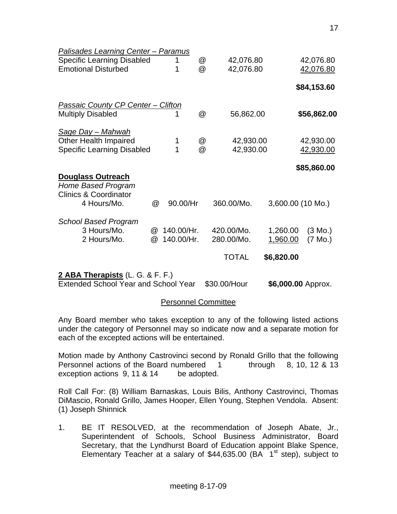| Palisades Learning Center - Paramus         |                      |            |             |              |            |                    |
|---------------------------------------------|----------------------|------------|-------------|--------------|------------|--------------------|
| <b>Specific Learning Disabled</b>           |                      | 1          | @           | 42,076.80    |            | 42,076.80          |
| <b>Emotional Disturbed</b>                  |                      | 1          | $\circleda$ | 42,076.80    |            | 42,076.80          |
|                                             |                      |            |             |              |            | \$84,153.60        |
| <b>Passaic County CP Center - Clifton</b>   |                      |            |             |              |            |                    |
| <b>Multiply Disabled</b>                    |                      | 1          | @           | 56,862.00    |            | \$56,862.00        |
| <u>Sage Day – Mahwah</u>                    |                      |            |             |              |            |                    |
| <b>Other Health Impaired</b>                |                      | 1          | @           | 42,930.00    |            | 42,930.00          |
| <b>Specific Learning Disabled</b>           |                      | 1          | @           | 42,930.00    |            | 42,930.00          |
|                                             |                      |            |             |              |            | \$85,860.00        |
| <b>Douglass Outreach</b>                    |                      |            |             |              |            |                    |
| Home Based Program                          |                      |            |             |              |            |                    |
| <b>Clinics &amp; Coordinator</b>            |                      |            |             |              |            |                    |
| 4 Hours/Mo.                                 | @                    | 90.00/Hr   |             | 360.00/Mo.   |            | 3,600.00 (10 Mo.)  |
| <b>School Based Program</b>                 |                      |            |             |              |            |                    |
| 3 Hours/Mo.                                 | $^{\textregistered}$ | 140.00/Hr. |             | 420.00/Mo.   | 1,260.00   | (3 Mo.)            |
| 2 Hours/Mo.                                 | @                    | 140.00/Hr. |             | 280.00/Mo.   | 1,960.00   | (7 Mo.)            |
|                                             |                      |            |             | <b>TOTAL</b> | \$6,820.00 |                    |
| 2 ABA Therapists (L. G. & F. F.)            |                      |            |             |              |            |                    |
| <b>Extended School Year and School Year</b> |                      |            |             | \$30.00/Hour |            | \$6,000.00 Approx. |

## Personnel Committee

Any Board member who takes exception to any of the following listed actions under the category of Personnel may so indicate now and a separate motion for each of the excepted actions will be entertained.

Motion made by Anthony Castrovinci second by Ronald Grillo that the following Personnel actions of the Board numbered 1 through 8, 10, 12 & 13 exception actions 9, 11 & 14 be adopted.

Roll Call For: (8) William Barnaskas, Louis Bilis, Anthony Castrovinci, Thomas DiMascio, Ronald Grillo, James Hooper, Ellen Young, Stephen Vendola. Absent: (1) Joseph Shinnick

1. BE IT RESOLVED, at the recommendation of Joseph Abate, Jr., Superintendent of Schools, School Business Administrator, Board Secretary, that the Lyndhurst Board of Education appoint Blake Spence, Elementary Teacher at a salary of  $$44,635.00$  (BA  $1<sup>st</sup>$  step), subject to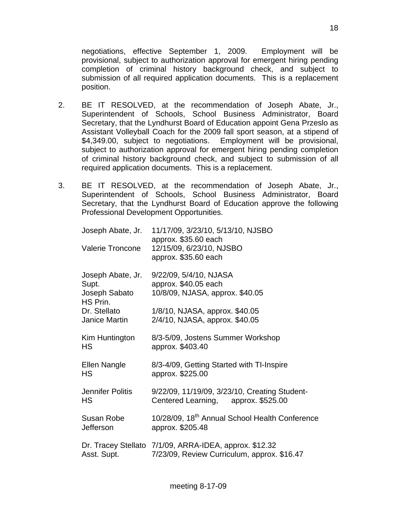negotiations, effective September 1, 2009. Employment will be provisional, subject to authorization approval for emergent hiring pending completion of criminal history background check, and subject to submission of all required application documents. This is a replacement position.

- 2. BE IT RESOLVED, at the recommendation of Joseph Abate, Jr., Superintendent of Schools, School Business Administrator, Board Secretary, that the Lyndhurst Board of Education appoint Gena Przeslo as Assistant Volleyball Coach for the 2009 fall sport season, at a stipend of \$4,349.00, subject to negotiations. Employment will be provisional, subject to authorization approval for emergent hiring pending completion of criminal history background check, and subject to submission of all required application documents. This is a replacement.
- 3. BE IT RESOLVED, at the recommendation of Joseph Abate, Jr., Superintendent of Schools, School Business Administrator, Board Secretary, that the Lyndhurst Board of Education approve the following Professional Development Opportunities.

| Joseph Abate, Jr.<br><b>Valerie Troncone</b>            | 11/17/09, 3/23/10, 5/13/10, NJSBO<br>approx. \$35.60 each<br>12/15/09, 6/23/10, NJSBO<br>approx. \$35.60 each |
|---------------------------------------------------------|---------------------------------------------------------------------------------------------------------------|
| Joseph Abate, Jr.<br>Supt.<br>Joseph Sabato<br>HS Prin. | 9/22/09, 5/4/10, NJASA<br>approx. \$40.05 each<br>10/8/09, NJASA, approx. \$40.05                             |
| Dr. Stellato<br>Janice Martin                           | 1/8/10, NJASA, approx. \$40.05<br>2/4/10, NJASA, approx. \$40.05                                              |
| Kim Huntington<br>HS                                    | 8/3-5/09, Jostens Summer Workshop<br>approx. \$403.40                                                         |
| Ellen Nangle<br><b>HS</b>                               | 8/3-4/09, Getting Started with TI-Inspire<br>approx. \$225.00                                                 |
| Jennifer Politis<br>HS                                  | 9/22/09, 11/19/09, 3/23/10, Creating Student-<br>Centered Learning, approx. \$525.00                          |
| Susan Robe<br><b>Jefferson</b>                          | 10/28/09, 18 <sup>th</sup> Annual School Health Conference<br>approx. \$205.48                                |
| Asst. Supt.                                             | Dr. Tracey Stellato 7/1/09, ARRA-IDEA, approx. \$12.32<br>7/23/09, Review Curriculum, approx. \$16.47         |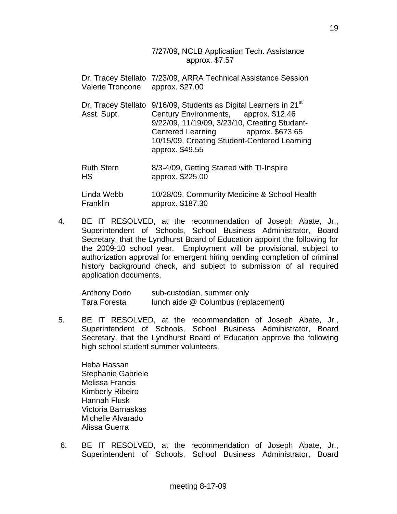7/27/09, NCLB Application Tech. Assistance approx. \$7.57

| Valerie Troncone        | Dr. Tracey Stellato 7/23/09, ARRA Technical Assistance Session<br>approx. \$27.00                                                                                                                                                                                                |
|-------------------------|----------------------------------------------------------------------------------------------------------------------------------------------------------------------------------------------------------------------------------------------------------------------------------|
| Asst. Supt.             | Dr. Tracey Stellato 9/16/09, Students as Digital Learners in 21 <sup>st</sup><br>Century Environments, approx. \$12.46<br>9/22/09, 11/19/09, 3/23/10, Creating Student-<br>Centered Learning approx. \$673.65<br>10/15/09, Creating Student-Centered Learning<br>approx. \$49.55 |
| <b>Ruth Stern</b><br>HS | 8/3-4/09, Getting Started with TI-Inspire<br>approx. \$225.00                                                                                                                                                                                                                    |

 Linda Webb 10/28/09, Community Medicine & School Health Franklin approx. \$187.30

4. BE IT RESOLVED, at the recommendation of Joseph Abate, Jr., Superintendent of Schools, School Business Administrator, Board Secretary, that the Lyndhurst Board of Education appoint the following for the 2009-10 school year. Employment will be provisional, subject to authorization approval for emergent hiring pending completion of criminal history background check, and subject to submission of all required application documents.

| <b>Anthony Dorio</b> | sub-custodian, summer only          |
|----------------------|-------------------------------------|
| Tara Foresta         | lunch aide @ Columbus (replacement) |

5. BE IT RESOLVED, at the recommendation of Joseph Abate, Jr., Superintendent of Schools, School Business Administrator, Board Secretary, that the Lyndhurst Board of Education approve the following high school student summer volunteers.

 Heba Hassan Stephanie Gabriele Melissa Francis Kimberly Ribeiro Hannah Flusk Victoria Barnaskas Michelle Alvarado Alissa Guerra

 6. BE IT RESOLVED, at the recommendation of Joseph Abate, Jr., Superintendent of Schools, School Business Administrator, Board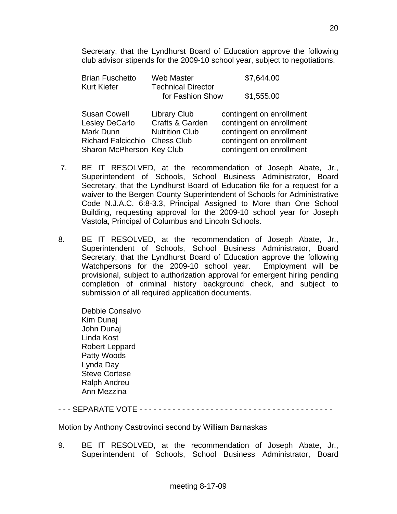Secretary, that the Lyndhurst Board of Education approve the following club advisor stipends for the 2009-10 school year, subject to negotiations.

| <b>Brian Fuschetto</b> | Web Master                                    | \$7,644.00 |
|------------------------|-----------------------------------------------|------------|
| <b>Kurt Kiefer</b>     | <b>Technical Director</b><br>for Fashion Show | \$1,555.00 |
|                        |                                               |            |

|                               | contingent on enrollment |
|-------------------------------|--------------------------|
| Crafts & Garden               | contingent on enrollment |
| <b>Nutrition Club</b>         | contingent on enrollment |
| Richard Falcicchio Chess Club | contingent on enrollment |
| Sharon McPherson Key Club     | contingent on enrollment |
|                               | <b>Library Club</b>      |

- 7. BE IT RESOLVED, at the recommendation of Joseph Abate, Jr., Superintendent of Schools, School Business Administrator, Board Secretary, that the Lyndhurst Board of Education file for a request for a waiver to the Bergen County Superintendent of Schools for Administrative Code N.J.A.C. 6:8-3.3, Principal Assigned to More than One School Building, requesting approval for the 2009-10 school year for Joseph Vastola, Principal of Columbus and Lincoln Schools.
- 8. BE IT RESOLVED, at the recommendation of Joseph Abate, Jr., Superintendent of Schools, School Business Administrator, Board Secretary, that the Lyndhurst Board of Education approve the following Watchpersons for the 2009-10 school year. Employment will be provisional, subject to authorization approval for emergent hiring pending completion of criminal history background check, and subject to submission of all required application documents.

 Debbie Consalvo Kim Dunaj John Dunaj Linda Kost Robert Leppard Patty Woods Lynda Day Steve Cortese Ralph Andreu Ann Mezzina

## - - - SEPARATE VOTE - - - - - - - - - - - - - - - - - - - - - - - - - - - - - - - - - - - - - - - - -

Motion by Anthony Castrovinci second by William Barnaskas

9. BE IT RESOLVED, at the recommendation of Joseph Abate, Jr., Superintendent of Schools, School Business Administrator, Board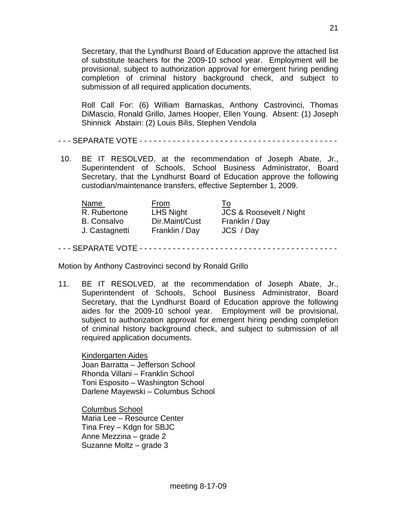Secretary, that the Lyndhurst Board of Education approve the attached list of substitute teachers for the 2009-10 school year. Employment will be provisional, subject to authorization approval for emergent hiring pending completion of criminal history background check, and subject to submission of all required application documents.

 Roll Call For: (6) William Barnaskas, Anthony Castrovinci, Thomas DiMascio, Ronald Grillo, James Hooper, Ellen Young. Absent: (1) Joseph Shinnick Abstain: (2) Louis Bilis, Stephen Vendola

- - - SEPARATE VOTE - - - - - - - - - - - - - - - - - - - - - - - - - - - - - - - - - - - - - - - - - -

 10. BE IT RESOLVED, at the recommendation of Joseph Abate, Jr., Superintendent of Schools, School Business Administrator, Board Secretary, that the Lyndhurst Board of Education approve the following custodian/maintenance transfers, effective September 1, 2009.

| <b>Name</b>        | From             | To                      |
|--------------------|------------------|-------------------------|
| R. Rubertone       | <b>LHS Night</b> | JCS & Roosevelt / Night |
| <b>B.</b> Consalvo | Dir.Maint/Cust   | Franklin / Day          |
| J. Castagnetti     | Franklin / Day   | JCS / Day               |

- - - SEPARATE VOTE - - - - - - - - - - - - - - - - - - - - - - - - - - - - - - - - - - - - - - - - - -

Motion by Anthony Castrovinci second by Ronald Grillo

11. BE IT RESOLVED, at the recommendation of Joseph Abate, Jr., Superintendent of Schools, School Business Administrator, Board Secretary, that the Lyndhurst Board of Education approve the following aides for the 2009-10 school year. Employment will be provisional, subject to authorization approval for emergent hiring pending completion of criminal history background check, and subject to submission of all required application documents.

Kindergarten Aides Joan Barratta – Jefferson School Rhonda Villani – Franklin School Toni Esposito – Washington School Darlene Mayewski – Columbus School

Columbus School Maria Lee – Resource Center Tina Frey – Kdgn for SBJC Anne Mezzina – grade 2 Suzanne Moltz – grade 3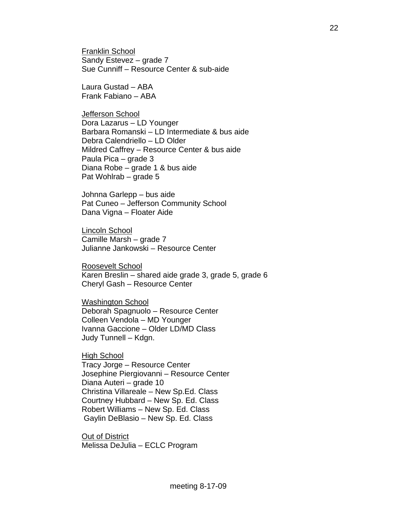Franklin School Sandy Estevez – grade 7 Sue Cunniff – Resource Center & sub-aide

 Laura Gustad – ABA Frank Fabiano – ABA

Jefferson School Dora Lazarus – LD Younger Barbara Romanski – LD Intermediate & bus aide Debra Calendriello – LD Older Mildred Caffrey – Resource Center & bus aide Paula Pica – grade 3 Diana Robe – grade 1 & bus aide Pat Wohlrab – grade 5

 Johnna Garlepp – bus aide Pat Cuneo – Jefferson Community School Dana Vigna – Floater Aide

Lincoln School Camille Marsh – grade 7 Julianne Jankowski – Resource Center

Roosevelt School Karen Breslin – shared aide grade 3, grade 5, grade 6 Cheryl Gash – Resource Center

Washington School Deborah Spagnuolo – Resource Center Colleen Vendola – MD Younger Ivanna Gaccione – Older LD/MD Class Judy Tunnell – Kdgn.

High School Tracy Jorge – Resource Center Josephine Piergiovanni – Resource Center Diana Auteri – grade 10 Christina Villareale – New Sp.Ed. Class Courtney Hubbard – New Sp. Ed. Class Robert Williams – New Sp. Ed. Class Gaylin DeBlasio – New Sp. Ed. Class

Out of District Melissa DeJulia – ECLC Program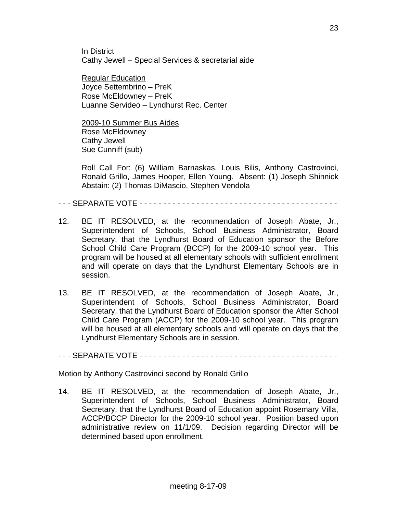In District Cathy Jewell – Special Services & secretarial aide

Regular Education Joyce Settembrino – PreK Rose McEldowney – PreK Luanne Servideo – Lyndhurst Rec. Center

2009-10 Summer Bus Aides Rose McEldowney Cathy Jewell Sue Cunniff (sub)

 Roll Call For: (6) William Barnaskas, Louis Bilis, Anthony Castrovinci, Ronald Grillo, James Hooper, Ellen Young. Absent: (1) Joseph Shinnick Abstain: (2) Thomas DiMascio, Stephen Vendola

#### - - - SEPARATE VOTE - - - - - - - - - - - - - - - - - - - - - - - - - - - - - - - - - - - - - - - - - -

- 12. BE IT RESOLVED, at the recommendation of Joseph Abate, Jr., Superintendent of Schools, School Business Administrator, Board Secretary, that the Lyndhurst Board of Education sponsor the Before School Child Care Program (BCCP) for the 2009-10 school year. This program will be housed at all elementary schools with sufficient enrollment and will operate on days that the Lyndhurst Elementary Schools are in session.
- 13. BE IT RESOLVED, at the recommendation of Joseph Abate, Jr., Superintendent of Schools, School Business Administrator, Board Secretary, that the Lyndhurst Board of Education sponsor the After School Child Care Program (ACCP) for the 2009-10 school year. This program will be housed at all elementary schools and will operate on days that the Lyndhurst Elementary Schools are in session.

#### - - - SEPARATE VOTE - - - - - - - - - - - - - - - - - - - - - - - - - - - - - - - - - - - - - - - - - -

Motion by Anthony Castrovinci second by Ronald Grillo

14. BE IT RESOLVED, at the recommendation of Joseph Abate, Jr., Superintendent of Schools, School Business Administrator, Board Secretary, that the Lyndhurst Board of Education appoint Rosemary Villa, ACCP/BCCP Director for the 2009-10 school year. Position based upon administrative review on 11/1/09. Decision regarding Director will be determined based upon enrollment.